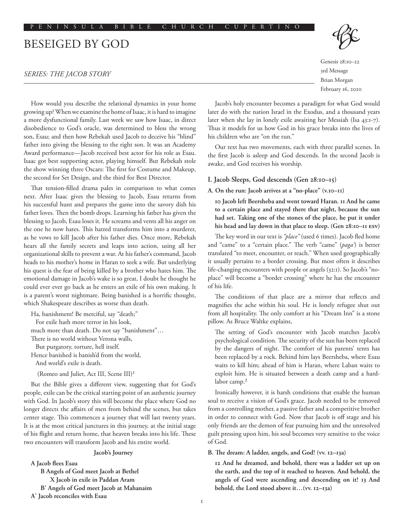# BESEIGED BY GOD

## *SERIES: THE JACOB STORY*

How would you describe the relational dynamics in your home growing up? When we examine the home of Isaac, it is hard to imagine a more dysfunctional family. Last week we saw how Isaac, in direct disobedience to God's oracle, was determined to bless the wrong son, Esau; and then how Rebekah used Jacob to deceive his "blind" father into giving the blessing to the right son. It was an Academy Award performance—Jacob received best actor for his role as Esau. Isaac got best supporting actor, playing himself. But Rebekah stole the show winning three Oscars: The first for Costume and Makeup, the second for Set Design, and the third for Best Director.

That tension-filled drama pales in comparison to what comes next. After Isaac gives the blessing to Jacob, Esau returns from his successful hunt and prepares the game into the savory dish his father loves. Then the bomb drops. Learning his father has given the blessing to Jacob, Esau loses it. He screams and vents all his anger on the one he now hates. This hatred transforms him into a murderer, as he vows to kill Jacob after his father dies. Once more, Rebekah hears all the family secrets and leaps into action, using all her organizational skills to prevent a war. At his father's command, Jacob heads to his mother's home in Haran to seek a wife. But underlying his quest is the fear of being killed by a brother who hates him. The emotional damage in Jacob's wake is so great, I doubt he thought he could ever ever go back as he enters an exile of his own making. It is a parent's worst nightmare. Being banished is a horrific thought, which Shakespeare describes as worse than death.

Ha, banishment! Be merciful, say "death;"

For exile hath more terror in his look,

much more than death. Do not say "banishment"…

There is no world without Verona walls,

But purgatory, torture, hell itself.

Hence banished is banish'd from the world, And world's exile is death.

(Romeo and Juliet, Act III, Scene III)1

But the Bible gives a different view, suggesting that for God's people, exile can be the critical starting point of an authentic journey with God. In Jacob's story this will become the place where God no longer directs the affairs of men from behind the scenes, but takes center stage. This commences a journey that will last twenty years. It is at the most critical junctures in this journey, at the initial stage of his flight and return home, that heaven breaks into his life. These two encounters will transform Jacob and his entire world.

## **Jacob's Journey**

**A Jacob flees Esau B Angels of God meet Jacob at Bethel X Jacob in exile in Paddan Aram B' Angels of God meet Jacob at Mahanaim A' Jacob reconciles with Esau**

Genesis 28:10–22 3rd Message

Brian Morgan February 16, 2020

Jacob's holy encounter becomes a paradigm for what God would later do with the nation Israel in the Exodus, and a thousand years later when she lay in lonely exile awaiting her Messiah (Isa 43:1-7). Thus it models for us how God in his grace breaks into the lives of his children who are "on the run."

Our text has two movements, each with three parallel scenes. In the first Jacob is asleep and God descends. In the second Jacob is awake, and God receives his worship.

## **I. Jacob Sleeps, God descends (Gen 28:10–15)**

## **A. On the run: Jacob arrives at a "no-place" (v.10–11)**

**10 Jacob left Beersheba and went toward Haran. 11 And he came to a certain place and stayed there that night, because the sun had set. Taking one of the stones of the place, he put it under his head and lay down in that place to sleep. (Gen 28:10–11 ESV)**

The key word in our text is *"place"* (used 6 times). Jacob fled home and "came" to a "certain place." The verb "came" (*paga'*) is better translated "to meet, encounter, or reach." When used geographically it usually pertains to a border crossing. But most often it describes life-changing encounters with people or angels (32:1). So Jacob's "noplace" will become a "border crossing" where he has the encounter of his life.

The conditions of that place are a mirror that reflects and magnifies the ache within his soul. He is lonely refugee shut out from all hospitality. The only comfort at his "Dream Inn" is a stone pillow. As Bruce Waltke explains,

The setting of God's encounter with Jacob matches Jacob's psychological condition. The security of the sun has been replaced by the dangers of night. The comfort of his parents' tents has been replaced by a rock. Behind him lays Beersheba, where Esau waits to kill him; ahead of him is Haran, where Laban waits to exploit him. He is situated between a death camp and a hardlabor camp.<sup>2</sup>

Ironically however, it is harsh conditions that enable the human soul to receive a vision of God's grace. Jacob needed to be removed from a controlling mother, a passive father and a competitive brother in order to connect with God. Now that Jacob is off stage and his only friends are the demon of fear pursuing him and the unresolved guilt pressing upon him, his soul becomes very sensitive to the voice of God.

**B. The dream: A ladder, angels, and God! (vv. 12–13a)**

**12 And he dreamed, and behold, there was a ladder set up on the earth, and the top of it reached to heaven. And behold, the angels of God were ascending and descending on it! 13 And behold, the Lord stood above it…(vv. 12–13a)**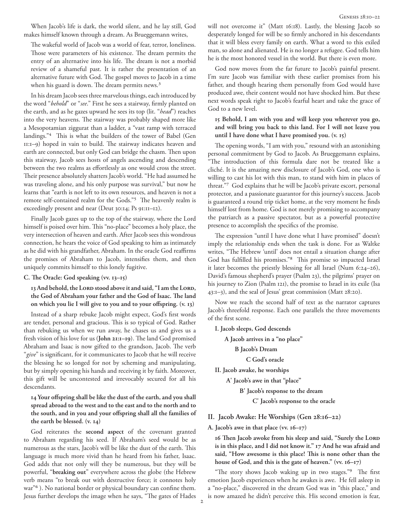When Jacob's life is dark, the world silent, and he lay still, God makes himself known through a dream. As Brueggemann writes,

The wakeful world of Jacob was a world of fear, terror, loneliness. Those were parameters of his existence. The dream permits the entry of an alternative into his life. The dream is not a morbid review of a shameful past. It is rather the presentation of an alternative future with God. The gospel moves to Jacob in a time when his guard is down. The dream permits news.<sup>3</sup>

In his dream Jacob sees three marvelous things, each introduced by the word "*behold*" or "*see*." First he sees a stairway, firmly planted on the earth, and as he gazes upward he sees its top (lit. "*head*") reaches into the very heavens. The stairway was probably shaped more like a Mesopotamian ziggurat than a ladder, a "vast ramp with terraced landings."4 This is what the builders of the tower of Babel (Gen 11:1–9) hoped in vain to build. The stairway indicates heaven and earth are connected, but only God can bridge the chasm. Then upon this stairway, Jacob sees hosts of angels ascending and descending between the two realms as effortlessly as one would cross the street. Their presence absolutely shatters Jacob's world. "He had assumed he was traveling alone, and his only purpose was survival," but now he learns that "earth is not left to its own resources, and heaven is not a remote self-contained realm for the Gods."5 The heavenly realm is exceedingly present and near (Deut 30:14; Ps 91:11–12).

Finally Jacob gazes up to the top of the stairway, where the Lord himself is poised over him. This "no-place" becomes a holy place, the very intersection of heaven and earth. After Jacob sees this wondrous connection, he hears the voice of God speaking to him as intimately as he did with his grandfather, Abraham. In the oracle God reaffirms the promises of Abraham to Jacob, intensifies them, and then uniquely commits himself to this lonely fugitive.

**C. The Oracle: God speaking (vv. 13–15)**

**13 And behold, the LORD stood above it and said, "I am the LORD, the God of Abraham your father and the God of Isaac. The land on which you lie I will give to you and to your offspring. (v. 13)**

Instead of a sharp rebuke Jacob might expect, God's first words are tender, personal and gracious. This is so typical of God. Rather than rebuking us when we run away, he chases us and gives us a fresh vision of his love for us (**John 21:1–19**). The land God promised Abraham and Isaac is now gifted to the grandson, Jacob. The verb "*give*" is significant, for it communicates to Jacob that he will receive the blessing he so longed for not by scheming and manipulating, but by simply opening his hands and receiving it by faith. Moreover, this gift will be uncontested and irrevocably secured for all his descendants.

# **14 Your offspring shall be like the dust of the earth, and you shall spread abroad to the west and to the east and to the north and to the south, and in you and your offspring shall all the families of the earth be blessed. (v. 14)**

God reiterates the **second aspect** of the covenant granted to Abraham regarding his seed. If Abraham's seed would be as numerous as the stars, Jacob's will be like the dust of the earth. This language is much more vivid than he heard from his father, Isaac. God adds that not only will they be numerous, but they will be powerful, "**breaking out**" everywhere across the globe (the Hebrew verb means "to break out with destructive force; it connotes holy war<sup>"6</sup>). No national border or physical boundary can confine them. Jesus further develops the image when he says, "The gates of Hades will not overcome it" (Matt 16:18). Lastly, the blessing Jacob so desperately longed for will be so firmly anchored in his descendants that it will bless every family on earth. What a word to this exiled man, so alone and alienated. He is no longer a refugee. God tells him he is the most honored vessel in the world. But there is even more.

God now moves from the far future to Jacob's painful present. I'm sure Jacob was familiar with these earlier promises from his father, and though hearing them personally from God would have produced awe, their content would not have shocked him. But these next words speak right to Jacob's fearful heart and take the grace of God to a new level.

## **15 Behold, I am with you and will keep you wherever you go, and will bring you back to this land. For I will not leave you until I have done what I have promised you. (v. 15)**

The opening words, "I am with you," resound with an astonishing personal commitment by God to Jacob. As Brueggemann explains, "The introduction of this formula dare not be treated like a cliché. It is the amazing new disclosure of Jacob's God, one who is willing to cast his lot with this man, to stand with him in places of threat."7 God explains that he will be Jacob's private escort, personal protector, and a passionate guarantor for this journey's success. Jacob is guaranteed a round trip ticket home, at the very moment he finds himself lost from home. God is not merely promising to accompany the patriarch as a passive spectator, but as a powerful protective presence to accomplish the specifics of the promise.

The expression "until I have done what I have promised" doesn't imply the relationship ends when the task is done. For as Waltke writes, "The Hebrew 'until' does not entail a situation change after God has fulfilled his promises."8 This promise so impacted Israel it later becomes the priestly blessing for all Israel (Num 6:24–26), David's famous shepherd's prayer (Psalm 23), the pilgrims' prayer on his journey to Zion (Psalm 121), the promise to Israel in its exile (Isa 43:1–3), and the seal of Jesus' great commission (Matt 28:20).

Now we reach the second half of text as the narrator captures Jacob's threefold response. Each one parallels the three movements of the first scene.

**I. Jacob sleeps, God descends**

 **A Jacob arrives in a "no place"**

 **B Jacob's Dream**

 **C God's oracle**

**II. Jacob awake, he worships**

 **A' Jacob's awe in that "place"**

 **B' Jacob's response to the dream**

 **C' Jacob's response to the oracle**

## **II. Jacob Awake: He Worships (Gen 28:16–22)**

**A. Jacob's awe in that place (vv. 16–17)** 

**16 Then Jacob awoke from his sleep and said, "Surely the LORD is in this place, and I did not know it." 17 And he was afraid and said, "How awesome is this place! This is none other than the house of God, and this is the gate of heaven." (vv. 16–17)**

"The story shows Jacob waking up in two stages."<sup>9</sup> The first emotion Jacob experiences when he awakes is awe. He fell asleep in a "no-place," discovered in the dream God was in "this place," and is now amazed he didn't perceive this. His second emotion is fear,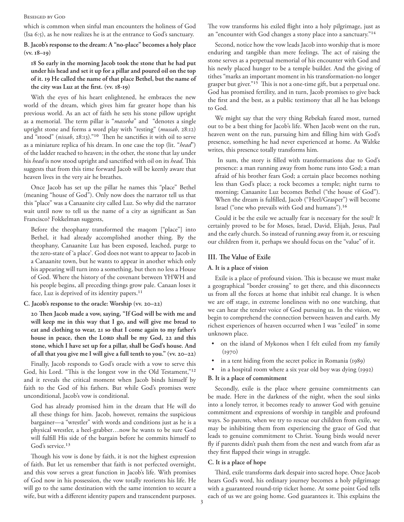#### Beseiged by God

which is common when sinful man encounters the holiness of God (Isa 6:5), as he now realizes he is at the entrance to God's sanctuary.

**B. Jacob's response to the dream: A "no-place" becomes a holy place (vv. 18–19)**

**18 So early in the morning Jacob took the stone that he had put under his head and set it up for a pillar and poured oil on the top of it. 19 He called the name of that place Bethel, but the name of the city was Luz at the first. (vv. 18-19)**

With the eyes of his heart enlightened, he embraces the new world of the dream, which gives him far greater hope than his previous world. As an act of faith he sets his stone pillow upright as a memorial. The term pillar is "*masseba*" and "denotes a single upright stone and forms a word play with "resting" (*mussab*, 28:12) and "stood" (*nissab*, 28:13)."10 Then he sanctifies it with oil to serve as a miniature replica of his dream. In one case the top (lit. "*head*") of the ladder reached to heaven; in the other, the stone that lay under his *head* is now stood upright and sanctified with oil on its *head*. This suggests that from this time forward Jacob will be keenly aware that heaven lives in the very air he breathes.

Once Jacob has set up the pillar he names this "place" Bethel (meaning "house of God"). Only now does the narrator tell us that this "place" was a Canaanite city called Luz. So why did the narrator wait until now to tell us the name of a city as significant as San Francisco? Fokkelman suggests,

Before the theophany transformed the maqom ["place"] into Bethel, it had already accomplished another thing. By the theophany, Canaanite Luz has been exposed, leached, purge to the zero-state of 'a place'. God does not want to appear to Jacob in a Canaanite town, but he wants to appear in another which only his appearing will turn into a something, but then no less a House of God. Where the history of the covenant between YHWH and his people begins, all preceding things grow pale. Canaan loses it face, Luz is deprived of its identity papers.<sup>11</sup>

**C. Jacob's response to the oracle: Worship (vv. 20–22)**

**20 Then Jacob made a vow, saying, "If God will be with me and will keep me in this way that I go, and will give me bread to eat and clothing to wear, 21 so that I come again to my father's house in peace, then the LORD shall be my God, 22 and this stone, which I have set up for a pillar, shall be God's house. And of all that you give me I will give a full tenth to you." (vv. 20–22)**

Finally, Jacob responds to God's oracle with a vow to serve this God, his Lord. "This is the longest vow in the Old Testament,"12 and it reveals the critical moment when Jacob binds himself by faith to the God of his fathers. But while God's promises were unconditional, Jacob's vow is conditional.

God has already promised him in the dream that He will do all these things for him. Jacob, however, remains the suspicious bargainer—a "wrestler" with words and conditions just as he is a physical wrestler, a heel-grabber…now he wants to be sure God will fulfill His side of the bargain before he commits himself to God's service.<sup>13</sup>

Though his vow is done by faith, it is not the highest expression of faith. But let us remember that faith is not perfected overnight, and this vow serves a great function in Jacob's life. With promises of God now in his possession, the vow totally reorients his life. He will go to the same destination with the same intention to secure a wife, but with a different identity papers and transcendent purposes. The vow transforms his exiled flight into a holy pilgrimage, just as an "encounter with God changes a stony place into a sanctuary."14

Second, notice how the vow leads Jacob into worship that is more enduring and tangible than mere feelings. The act of raising the stone serves as a perpetual memorial of his encounter with God and his newly placed hunger to be a temple builder. And the giving of tithes "marks an important moment in his transformation-no longer grasper but giver."15 This is not a one-time gift, but a perpetual one. God has promised fertility, and in turn, Jacob promises to give back the first and the best, as a public testimony that all he has belongs to God.

We might say that the very thing Rebekah feared most, turned out to be a best thing for Jacob's life. When Jacob went on the run, heaven went on the run, pursuing him and filling him with God's presence, something he had never experienced at home. As Waltke writes, this presence totally transforms him.

 In sum, the story is filled with transformations due to God's presence: a man running away from home runs into God; a man afraid of his brother fears God; a certain place becomes nothing less than God's place; a rock becomes a temple; night turns to morning; Canaanite Luz becomes Bethel ("the house of God"). When the dream is fulfilled, Jacob ("Heel/Grasper") will become Israel ("one who prevails with God and humans").16

Could it be the exile we actually fear is necessary for the soul? It certainly proved to be for Moses, Israel, David, Elijah, Jesus, Paul and the early church. So instead of running away from it, or rescuing our children from it, perhaps we should focus on the "value" of it.

# **III. The Value of Exile**

## **A. It is a place of vision**

Exile is a place of profound vision. This is because we must make a geographical "border crossing" to get there, and this disconnects us from all the forces at home that inhibit real change. It is when we are off stage, in extreme loneliness with no one watching, that we can hear the tender voice of God pursuing us. In the vision, we begin to comprehend the connection between heaven and earth. My richest experiences of heaven occurred when I was "exiled" in some unknown place.

- on the island of Mykonos when I felt exiled from my family  $(1970)$
- in a tent hiding from the secret police in Romania (1989)
- in a hospital room where a six year old boy was dying (1992)

## **B. It is a place of commitment**

Secondly, exile is the place where genuine commitments can be made. Here in the darkness of the night, when the soul sinks into a lonely terror, it becomes ready to answer God with genuine commitment and expressions of worship in tangible and profound ways. So parents, when we try to rescue our children from exile, we may be inhibiting them from experiencing the grace of God that leads to genuine commitment to Christ. Young birds would never fly if parents didn't push them from the nest and watch from afar as they first flapped their wings in struggle.

## **C. It is a place of hope**

Third, exile transforms dark despair into sacred hope. Once Jacob hears God's word, his ordinary journey becomes a holy pilgrimage with a guaranteed round-trip ticket home. At some point God tells each of us we are going home. God guarantees it. This explains the